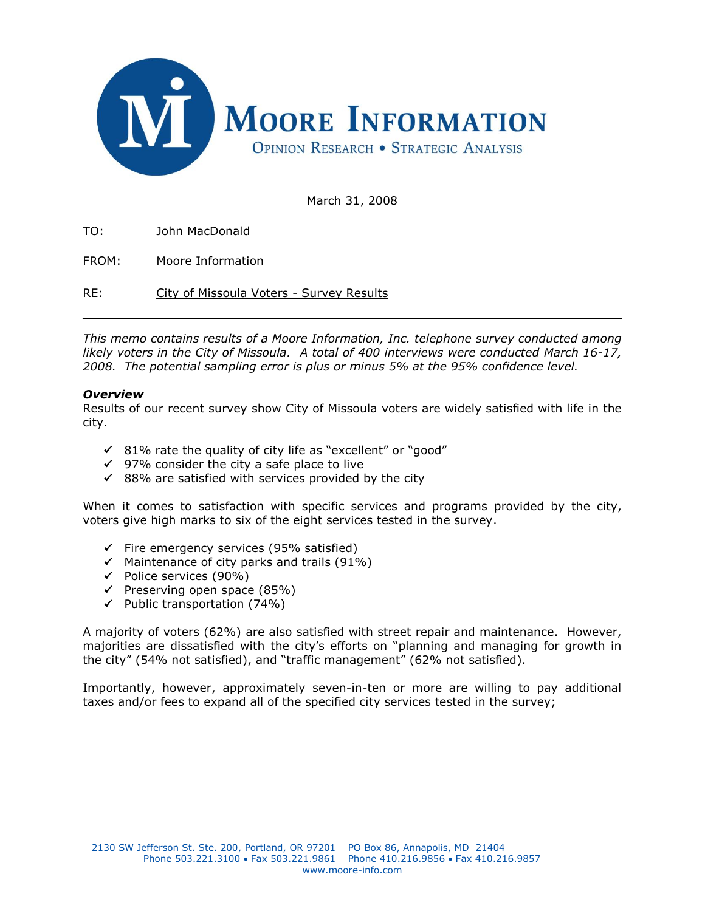

March 31, 2008

TO: John MacDonald

FROM: Moore Information

RE: City of Missoula Voters - Survey Results

*This memo contains results of a Moore Information, Inc. telephone survey conducted among likely voters in the City of Missoula. A total of 400 interviews were conducted March 16-17, 2008. The potential sampling error is plus or minus 5% at the 95% confidence level.*

#### *Overview*

Results of our recent survey show City of Missoula voters are widely satisfied with life in the city.

- $\checkmark$  81% rate the quality of city life as "excellent" or "good"
- $\checkmark$  97% consider the city a safe place to live
- $\checkmark$  88% are satisfied with services provided by the city

When it comes to satisfaction with specific services and programs provided by the city, voters give high marks to six of the eight services tested in the survey.

- $\checkmark$  Fire emergency services (95% satisfied)
- $\checkmark$  Maintenance of city parks and trails (91%)
- $\checkmark$  Police services (90%)
- $\checkmark$  Preserving open space (85%)
- $\checkmark$  Public transportation (74%)

A majority of voters (62%) are also satisfied with street repair and maintenance. However, majorities are dissatisfied with the city's efforts on "planning and managing for growth in the city" (54% not satisfied), and "traffic management" (62% not satisfied).

Importantly, however, approximately seven-in-ten or more are willing to pay additional taxes and/or fees to expand all of the specified city services tested in the survey;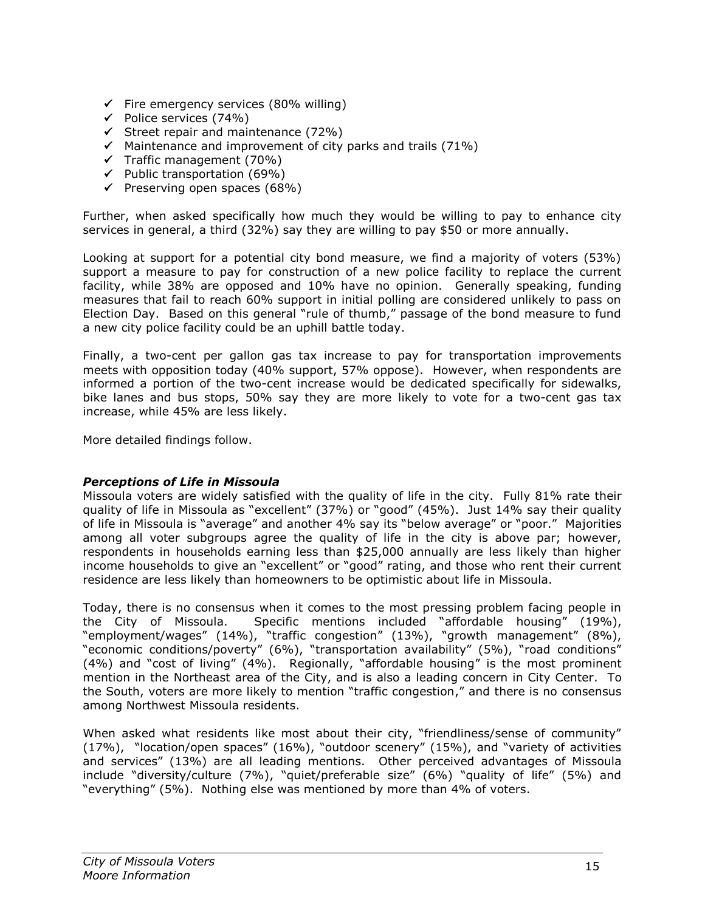- $\checkmark$  Fire emergency services (80% willing)
- $\checkmark$  Police services (74%)
- $\checkmark$  Street repair and maintenance (72%)
- $\checkmark$  Maintenance and improvement of city parks and trails (71%)
- $\checkmark$  Traffic management (70%)
- $\checkmark$  Public transportation (69%)
- $\checkmark$  Preserving open spaces (68%)

Further, when asked specifically how much they would be willing to pay to enhance city services in general, a third (32%) say they are willing to pay \$50 or more annually.

Looking at support for a potential city bond measure, we find a majority of voters (53%) support a measure to pay for construction of a new police facility to replace the current facility, while 38% are opposed and 10% have no opinion. Generally speaking, funding measures that fail to reach 60% support in initial polling are considered unlikely to pass on Election Day. Based on this general "rule of thumb," passage of the bond measure to fund a new city police facility could be an uphill battle today.

Finally, a two-cent per gallon gas tax increase to pay for transportation improvements meets with opposition today (40% support, 57% oppose). However, when respondents are informed a portion of the two-cent increase would be dedicated specifically for sidewalks, bike lanes and bus stops, 50% say they are more likely to vote for a two-cent gas tax increase, while 45% are less likely.

More detailed findings follow.

# *Perceptions of Life in Missoula*

Missoula voters are widely satisfied with the quality of life in the city. Fully 81% rate their quality of life in Missoula as "excellent" (37%) or "good" (45%). Just 14% say their quality of life in Missoula is "average" and another 4% say its "below average" or "poor." Majorities among all voter subgroups agree the quality of life in the city is above par; however, respondents in households earning less than \$25,000 annually are less likely than higher income households to give an "excellent" or "good" rating, and those who rent their current residence are less likely than homeowners to be optimistic about life in Missoula.

Today, there is no consensus when it comes to the most pressing problem facing people in the City of Missoula. Specific mentions included "affordable housing" (19%), "employment/wages" (14%), "traffic congestion" (13%), "growth management" (8%), "economic conditions/poverty" (6%), "transportation availability" (5%), "road conditions" (4%) and "cost of living" (4%). Regionally, "affordable housing" is the most prominent mention in the Northeast area of the City, and is also a leading concern in City Center. To the South, voters are more likely to mention "traffic congestion," and there is no consensus among Northwest Missoula residents.

When asked what residents like most about their city, "friendliness/sense of community" (17%), "location/open spaces" (16%), "outdoor scenery" (15%), and "variety of activities and services" (13%) are all leading mentions. Other perceived advantages of Missoula include "diversity/culture (7%), "quiet/preferable size" (6%) "quality of life" (5%) and "everything" (5%). Nothing else was mentioned by more than 4% of voters.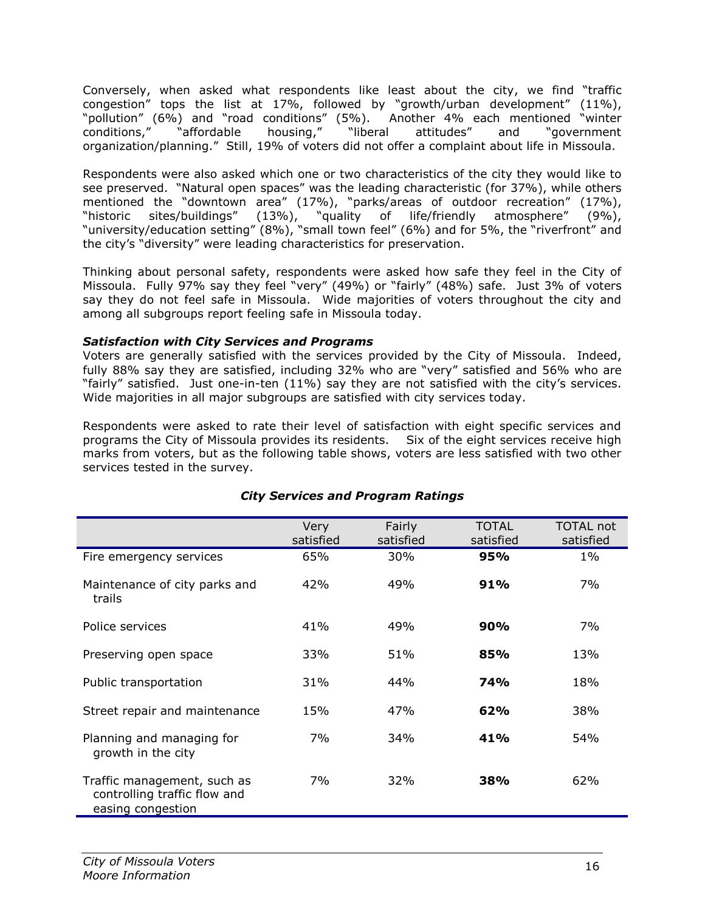Conversely, when asked what respondents like least about the city, we find "traffic congestion" tops the list at 17%, followed by "growth/urban development" (11%), "pollution" (6%) and "road conditions" (5%). Another 4% each mentioned "winter conditions," "affordable housing," "liberal attitudes" and "government organization/planning." Still, 19% of voters did not offer a complaint about life in Missoula.

Respondents were also asked which one or two characteristics of the city they would like to see preserved. "Natural open spaces" was the leading characteristic (for 37%), while others mentioned the "downtown area" (17%), "parks/areas of outdoor recreation" (17%), "historic sites/buildings" (13%), "quality of life/friendly atmosphere" (9%), "university/education setting" (8%), "small town feel" (6%) and for 5%, the "riverfront" and the city's "diversity" were leading characteristics for preservation.

Thinking about personal safety, respondents were asked how safe they feel in the City of Missoula. Fully 97% say they feel "very" (49%) or "fairly" (48%) safe. Just 3% of voters say they do not feel safe in Missoula. Wide majorities of voters throughout the city and among all subgroups report feeling safe in Missoula today.

# *Satisfaction with City Services and Programs*

Voters are generally satisfied with the services provided by the City of Missoula. Indeed, fully 88% say they are satisfied, including 32% who are "very" satisfied and 56% who are "fairly" satisfied. Just one-in-ten (11%) say they are not satisfied with the city's services. Wide majorities in all major subgroups are satisfied with city services today.

Respondents were asked to rate their level of satisfaction with eight specific services and programs the City of Missoula provides its residents. Six of the eight services receive high marks from voters, but as the following table shows, voters are less satisfied with two other services tested in the survey.

|                                                                                  | Very<br>satisfied | Fairly<br>satisfied | <b>TOTAL</b><br>satisfied | <b>TOTAL not</b><br>satisfied |
|----------------------------------------------------------------------------------|-------------------|---------------------|---------------------------|-------------------------------|
|                                                                                  |                   |                     |                           |                               |
| Fire emergency services                                                          | 65%               | 30%                 | 95%                       | $1\%$                         |
| Maintenance of city parks and<br>trails                                          | 42%               | 49%                 | 91%                       | 7%                            |
| Police services                                                                  | 41%               | 49%                 | 90%                       | 7%                            |
| Preserving open space                                                            | 33%               | 51%                 | 85%                       | 13%                           |
| Public transportation                                                            | 31%               | 44%                 | <b>74%</b>                | 18%                           |
| Street repair and maintenance                                                    | 15%               | 47%                 | 62%                       | 38%                           |
| Planning and managing for<br>growth in the city                                  | 7%                | 34%                 | 41%                       | 54%                           |
| Traffic management, such as<br>controlling traffic flow and<br>easing congestion | 7%                | 32%                 | <b>38%</b>                | 62%                           |

# *City Services and Program Ratings*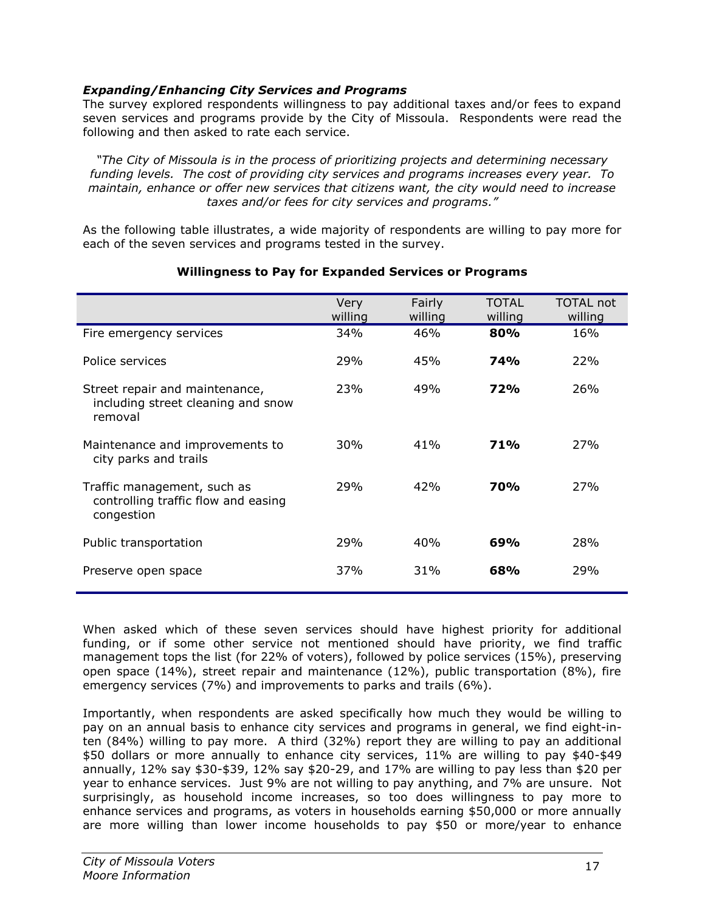# *Expanding/Enhancing City Services and Programs*

The survey explored respondents willingness to pay additional taxes and/or fees to expand seven services and programs provide by the City of Missoula. Respondents were read the following and then asked to rate each service.

*"The City of Missoula is in the process of prioritizing projects and determining necessary funding levels. The cost of providing city services and programs increases every year. To maintain, enhance or offer new services that citizens want, the city would need to increase taxes and/or fees for city services and programs."*

As the following table illustrates, a wide majority of respondents are willing to pay more for each of the seven services and programs tested in the survey.

|                                                                                  | <b>Very</b><br>willing | Fairly<br>willing | <b>TOTAL</b><br>willing | <b>TOTAL not</b><br>willing |
|----------------------------------------------------------------------------------|------------------------|-------------------|-------------------------|-----------------------------|
| Fire emergency services                                                          | 34%                    | 46%               | 80%                     | 16%                         |
| Police services                                                                  | 29%                    | 45%               | <b>74%</b>              | 22%                         |
| Street repair and maintenance,<br>including street cleaning and snow<br>removal  | 23%                    | 49%               | <b>72%</b>              | 26%                         |
| Maintenance and improvements to<br>city parks and trails                         | 30%                    | 41%               | <b>71%</b>              | 27%                         |
| Traffic management, such as<br>controlling traffic flow and easing<br>congestion | 29%                    | 42%               | <b>70%</b>              | 27%                         |
| Public transportation                                                            | 29%                    | 40%               | 69%                     | 28%                         |
| Preserve open space                                                              | 37%                    | 31%               | 68%                     | 29%                         |

# **Willingness to Pay for Expanded Services or Programs**

When asked which of these seven services should have highest priority for additional funding, or if some other service not mentioned should have priority, we find traffic management tops the list (for 22% of voters), followed by police services (15%), preserving open space (14%), street repair and maintenance (12%), public transportation (8%), fire emergency services (7%) and improvements to parks and trails (6%).

Importantly, when respondents are asked specifically how much they would be willing to pay on an annual basis to enhance city services and programs in general, we find eight-inten (84%) willing to pay more. A third (32%) report they are willing to pay an additional \$50 dollars or more annually to enhance city services, 11% are willing to pay \$40-\$49 annually, 12% say \$30-\$39, 12% say \$20-29, and 17% are willing to pay less than \$20 per year to enhance services. Just 9% are not willing to pay anything, and 7% are unsure. Not surprisingly, as household income increases, so too does willingness to pay more to enhance services and programs, as voters in households earning \$50,000 or more annually are more willing than lower income households to pay \$50 or more/year to enhance